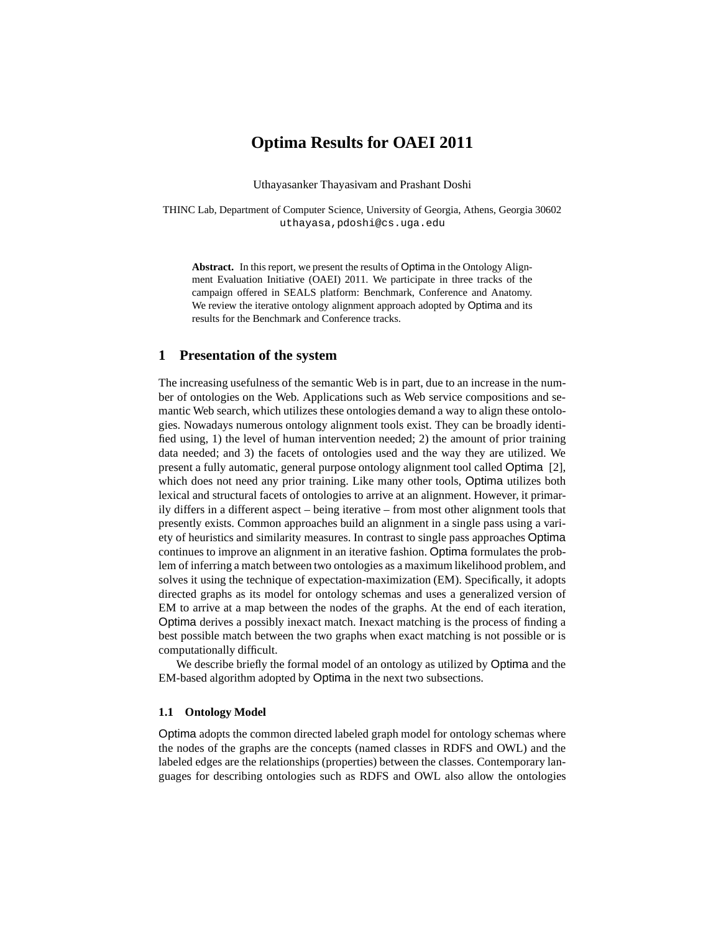## **Optima Results for OAEI 2011**

Uthayasanker Thayasivam and Prashant Doshi

THINC Lab, Department of Computer Science, University of Georgia, Athens, Georgia 30602 uthayasa,pdoshi@cs.uga.edu

**Abstract.** In this report, we present the results of Optima in the Ontology Alignment Evaluation Initiative (OAEI) 2011. We participate in three tracks of the campaign offered in SEALS platform: Benchmark, Conference and Anatomy. We review the iterative ontology alignment approach adopted by Optima and its results for the Benchmark and Conference tracks.

### **1 Presentation of the system**

The increasing usefulness of the semantic Web is in part, due to an increase in the number of ontologies on the Web. Applications such as Web service compositions and semantic Web search, which utilizes these ontologies demand a way to align these ontologies. Nowadays numerous ontology alignment tools exist. They can be broadly identified using, 1) the level of human intervention needed; 2) the amount of prior training data needed; and 3) the facets of ontologies used and the way they are utilized. We present a fully automatic, general purpose ontology alignment tool called Optima [2], which does not need any prior training. Like many other tools, Optima utilizes both lexical and structural facets of ontologies to arrive at an alignment. However, it primarily differs in a different aspect – being iterative – from most other alignment tools that presently exists. Common approaches build an alignment in a single pass using a variety of heuristics and similarity measures. In contrast to single pass approaches Optima continues to improve an alignment in an iterative fashion. Optima formulates the problem of inferring a match between two ontologies as a maximum likelihood problem, and solves it using the technique of expectation-maximization (EM). Specifically, it adopts directed graphs as its model for ontology schemas and uses a generalized version of EM to arrive at a map between the nodes of the graphs. At the end of each iteration, Optima derives a possibly inexact match. Inexact matching is the process of finding a best possible match between the two graphs when exact matching is not possible or is computationally difficult.

We describe briefly the formal model of an ontology as utilized by Optima and the EM-based algorithm adopted by Optima in the next two subsections.

### **1.1 Ontology Model**

Optima adopts the common directed labeled graph model for ontology schemas where the nodes of the graphs are the concepts (named classes in RDFS and OWL) and the labeled edges are the relationships (properties) between the classes. Contemporary languages for describing ontologies such as RDFS and OWL also allow the ontologies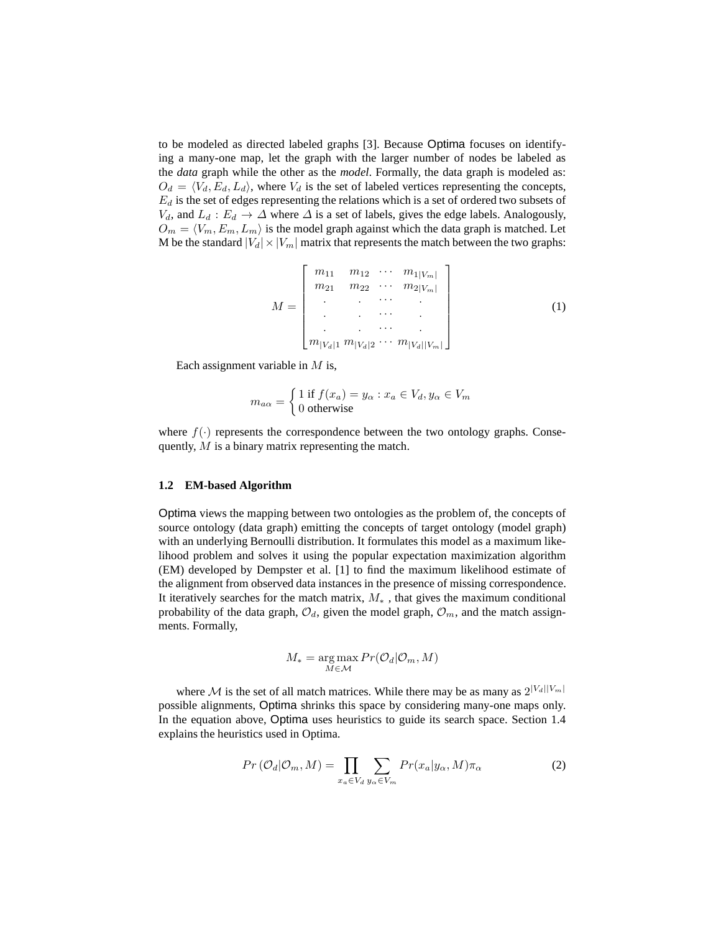to be modeled as directed labeled graphs [3]. Because Optima focuses on identifying a many-one map, let the graph with the larger number of nodes be labeled as the *data* graph while the other as the *model*. Formally, the data graph is modeled as:  $O_d = \langle V_d, E_d, L_d \rangle$ , where  $V_d$  is the set of labeled vertices representing the concepts,  $E_d$  is the set of edges representing the relations which is a set of ordered two subsets of  $V_d$ , and  $L_d : E_d \to \Delta$  where  $\Delta$  is a set of labels, gives the edge labels. Analogously,  $O_m = \langle V_m, E_m, L_m \rangle$  is the model graph against which the data graph is matched. Let M be the standard  $|V_d| \times |V_m|$  matrix that represents the match between the two graphs:

$$
M = \begin{bmatrix} m_{11} & m_{12} & \cdots & m_{1|V_m|} \\ m_{21} & m_{22} & \cdots & m_{2|V_m|} \\ \vdots & \vdots & \ddots & \vdots \\ m_{|V_d|1} & m_{|V_d|2} & \cdots & m_{|V_d||V_m|} \end{bmatrix}
$$
 (1)

Each assignment variable in  $M$  is,

$$
m_{a\alpha} = \begin{cases} 1 \text{ if } f(x_a) = y_\alpha : x_a \in V_d, y_\alpha \in V_m \\ 0 \text{ otherwise} \end{cases}
$$

where  $f(\cdot)$  represents the correspondence between the two ontology graphs. Consequently, M is a binary matrix representing the match.

#### **1.2 EM-based Algorithm**

Optima views the mapping between two ontologies as the problem of, the concepts of source ontology (data graph) emitting the concepts of target ontology (model graph) with an underlying Bernoulli distribution. It formulates this model as a maximum likelihood problem and solves it using the popular expectation maximization algorithm (EM) developed by Dempster et al. [1] to find the maximum likelihood estimate of the alignment from observed data instances in the presence of missing correspondence. It iteratively searches for the match matrix,  $M_*$ , that gives the maximum conditional probability of the data graph,  $\mathcal{O}_d$ , given the model graph,  $\mathcal{O}_m$ , and the match assignments. Formally,

$$
M_* = \underset{M \in \mathcal{M}}{\arg \max} Pr(\mathcal{O}_d | \mathcal{O}_m, M)
$$

where M is the set of all match matrices. While there may be as many as  $2^{|V_d||V_m|}$ possible alignments, Optima shrinks this space by considering many-one maps only. In the equation above, Optima uses heuristics to guide its search space. Section 1.4 explains the heuristics used in Optima.

$$
Pr\left(\mathcal{O}_d|\mathcal{O}_m, M\right) = \prod_{x_a \in V_d} \sum_{y_\alpha \in V_m} Pr(x_a|y_\alpha, M)\pi_\alpha \tag{2}
$$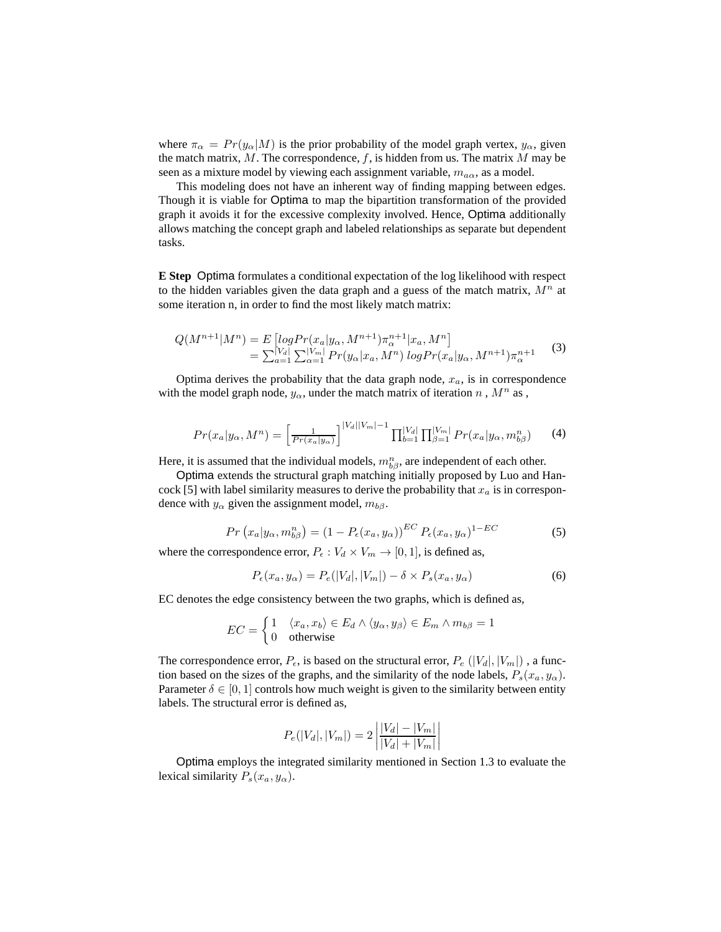where  $\pi_{\alpha} = Pr(y_{\alpha}|M)$  is the prior probability of the model graph vertex,  $y_{\alpha}$ , given the match matrix,  $M$ . The correspondence,  $f$ , is hidden from us. The matrix  $M$  may be seen as a mixture model by viewing each assignment variable,  $m_{a\alpha}$ , as a model.

This modeling does not have an inherent way of finding mapping between edges. Though it is viable for Optima to map the bipartition transformation of the provided graph it avoids it for the excessive complexity involved. Hence, Optima additionally allows matching the concept graph and labeled relationships as separate but dependent tasks.

**E Step** Optima formulates a conditional expectation of the log likelihood with respect to the hidden variables given the data graph and a guess of the match matrix,  $M<sup>n</sup>$  at some iteration n, in order to find the most likely match matrix:

$$
Q(M^{n+1}|M^n) = E\left[\log \Pr(x_a|y_\alpha, M^{n+1})\pi_\alpha^{n+1}|x_a, M^n\right] \\
= \sum_{a=1}^{|V_a|} \sum_{\alpha=1}^{|V_m|} \Pr(y_\alpha|x_a, M^n) \log \Pr(x_a|y_\alpha, M^{n+1})\pi_\alpha^{n+1} \tag{3}
$$

Optima derives the probability that the data graph node,  $x_a$ , is in correspondence with the model graph node,  $y_\alpha$ , under the match matrix of iteration n,  $M^n$  as,

$$
Pr(x_a|y_\alpha, M^n) = \left[\frac{1}{Pr(x_a|y_\alpha)}\right]^{|V_d||V_m|-1} \prod_{b=1}^{|V_d|} \prod_{\beta=1}^{|V_m|} Pr(x_a|y_\alpha, m_{b\beta}^n)
$$
(4)

Here, it is assumed that the individual models,  $m_{b\beta}^n$ , are independent of each other.

Optima extends the structural graph matching initially proposed by Luo and Hancock [5] with label similarity measures to derive the probability that  $x_a$  is in correspondence with  $y_\alpha$  given the assignment model,  $m_{b\beta}$ .

$$
Pr(x_a|y_\alpha, m_{b\beta}^n) = (1 - P_\epsilon(x_a, y_\alpha))^{EC} P_\epsilon(x_a, y_\alpha)^{1 - EC}
$$
\n(5)

where the correspondence error,  $P_{\epsilon}: V_d \times V_m \rightarrow [0, 1]$ , is defined as,

$$
P_{\epsilon}(x_a, y_{\alpha}) = P_{\epsilon}(|V_d|, |V_m|) - \delta \times P_s(x_a, y_{\alpha})
$$
\n<sup>(6)</sup>

EC denotes the edge consistency between the two graphs, which is defined as,

$$
EC = \begin{cases} 1 & \langle x_a, x_b \rangle \in E_d \land \langle y_\alpha, y_\beta \rangle \in E_m \land m_{b\beta} = 1 \\ 0 & \text{otherwise} \end{cases}
$$

The correspondence error,  $P_{\epsilon}$ , is based on the structural error,  $P_{\epsilon}$  ( $|V_d|, |V_m|$ ), a function based on the sizes of the graphs, and the similarity of the node labels,  $P_s(x_a, y_\alpha)$ . Parameter  $\delta \in [0, 1]$  controls how much weight is given to the similarity between entity labels. The structural error is defined as,

$$
P_e(|V_d|, |V_m|) = 2 \left| \frac{|V_d| - |V_m|}{|V_d| + |V_m|} \right|
$$

Optima employs the integrated similarity mentioned in Section 1.3 to evaluate the lexical similarity  $P_s(x_a, y_\alpha)$ .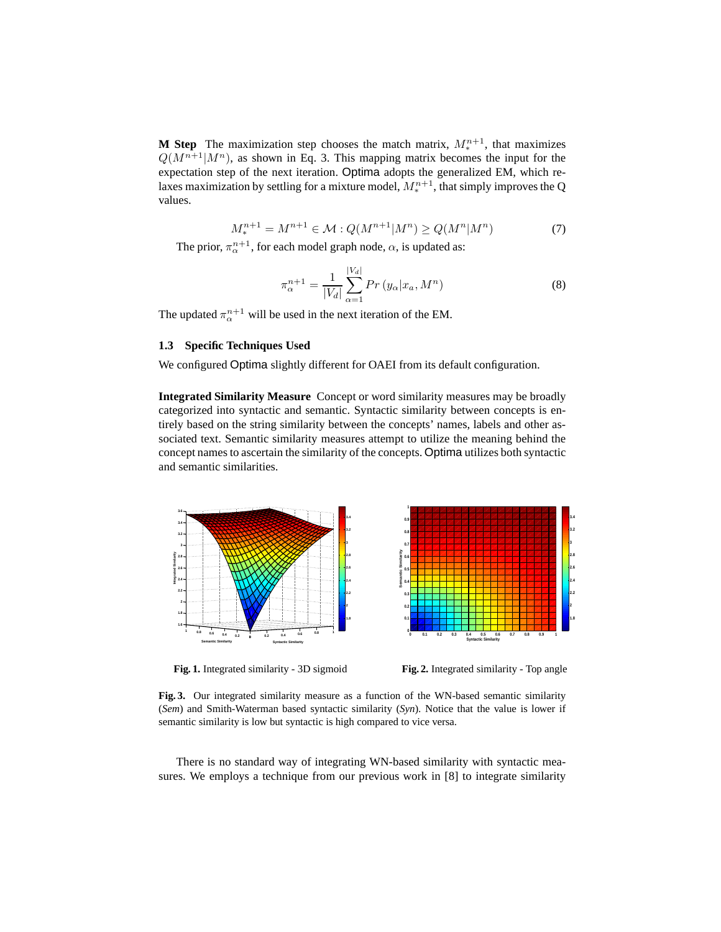**M Step** The maximization step chooses the match matrix,  $M_*^{n+1}$ , that maximizes  $Q(M^{n+1}|M^n)$ , as shown in Eq. 3. This mapping matrix becomes the input for the expectation step of the next iteration. Optima adopts the generalized EM, which relaxes maximization by settling for a mixture model,  $M_*^{n+1}$ , that simply improves the Q values.

$$
M_{*}^{n+1} = M^{n+1} \in \mathcal{M} : Q(M^{n+1}|M^{n}) \ge Q(M^{n}|M^{n})
$$
 (7)

The prior,  $\pi_{\alpha}^{n+1}$ , for each model graph node,  $\alpha$ , is updated as:

$$
\pi_{\alpha}^{n+1} = \frac{1}{|V_d|} \sum_{\alpha=1}^{|V_d|} Pr(y_{\alpha}|x_a, M^n)
$$
 (8)

The updated  $\pi_{\alpha}^{n+1}$  will be used in the next iteration of the EM.

### **1.3 Specific Techniques Used**

We configured Optima slightly different for OAEI from its default configuration.

**Integrated Similarity Measure** Concept or word similarity measures may be broadly categorized into syntactic and semantic. Syntactic similarity between concepts is entirely based on the string similarity between the concepts' names, labels and other associated text. Semantic similarity measures attempt to utilize the meaning behind the concept names to ascertain the similarity of the concepts. Optima utilizes both syntactic and semantic similarities.



**1.8 0 0.1 0.2 0.3 0.4 0.5 0.6 0.7 0.8 0.9 1 0 0.1 Syntactic Similarity**

**0.2 0.3 0.4 0.5 0.6 0.7 0.8 0.9 1**

**Semantic Similarity**

**Fig. 1.** Integrated similarity - 3D sigmoid

**Fig. 2.** Integrated similarity - Top angle

**1.8**

**2.2 2.4 2.6 2.8 3 3.2 3.4**

**Fig. 3.** Our integrated similarity measure as a function of the WN-based semantic similarity (*Sem*) and Smith-Waterman based syntactic similarity (*Syn*). Notice that the value is lower if semantic similarity is low but syntactic is high compared to vice versa.

There is no standard way of integrating WN-based similarity with syntactic measures. We employs a technique from our previous work in [8] to integrate similarity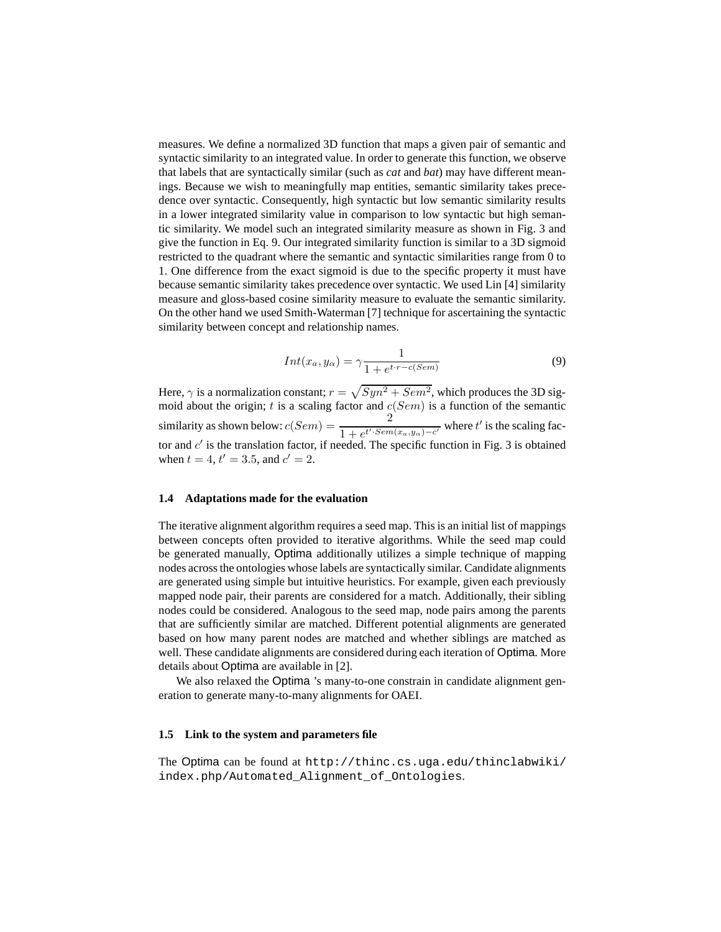measures. We define a normalized 3D function that maps a given pair of semantic and syntactic similarity to an integrated value. In order to generate this function, we observe that labels that are syntactically similar (such as *cat* and *bat*) may have different meanings. Because we wish to meaningfully map entities, semantic similarity takes precedence over syntactic. Consequently, high syntactic but low semantic similarity results in a lower integrated similarity value in comparison to low syntactic but high semantic similarity. We model such an integrated similarity measure as shown in Fig. 3 and give the function in Eq. 9. Our integrated similarity function is similar to a 3D sigmoid restricted to the quadrant where the semantic and syntactic similarities range from 0 to 1. One difference from the exact sigmoid is due to the specific property it must have because semantic similarity takes precedence over syntactic. We used Lin [4] similarity measure and gloss-based cosine similarity measure to evaluate the semantic similarity. On the other hand we used Smith-Waterman [7] technique for ascertaining the syntactic similarity between concept and relationship names.

$$
Int(x_a, y_\alpha) = \gamma \frac{1}{1 + e^{t \cdot r - c(Sem)}}
$$
\n(9)

Here,  $\gamma$  is a normalization constant;  $r = \sqrt{Syn^2 + Sem^2}$ , which produces the 3D sigmoid about the origin;  $t$  is a scaling factor and  $c(Sem)$  is a function of the semantic similarity as shown below:  $c(Sem) = \frac{2}{1 + e^{t' \cdot Sem(x_a, y_\alpha) - c'}}$  where  $t'$  is the scaling factor and  $c'$  is the translation factor, if needed. The specific function in Fig. 3 is obtained when  $t = 4$ ,  $t' = 3.5$ , and  $c' = 2$ .

#### **1.4 Adaptations made for the evaluation**

The iterative alignment algorithm requires a seed map. This is an initial list of mappings between concepts often provided to iterative algorithms. While the seed map could be generated manually, Optima additionally utilizes a simple technique of mapping nodes across the ontologies whose labels are syntactically similar. Candidate alignments are generated using simple but intuitive heuristics. For example, given each previously mapped node pair, their parents are considered for a match. Additionally, their sibling nodes could be considered. Analogous to the seed map, node pairs among the parents that are sufficiently similar are matched. Different potential alignments are generated based on how many parent nodes are matched and whether siblings are matched as well. These candidate alignments are considered during each iteration of Optima. More details about Optima are available in [2].

We also relaxed the Optima 's many-to-one constrain in candidate alignment generation to generate many-to-many alignments for OAEI.

#### **1.5 Link to the system and parameters file**

The Optima can be found at http://thinc.cs.uga.edu/thinclabwiki/ index.php/Automated\_Alignment\_of\_Ontologies.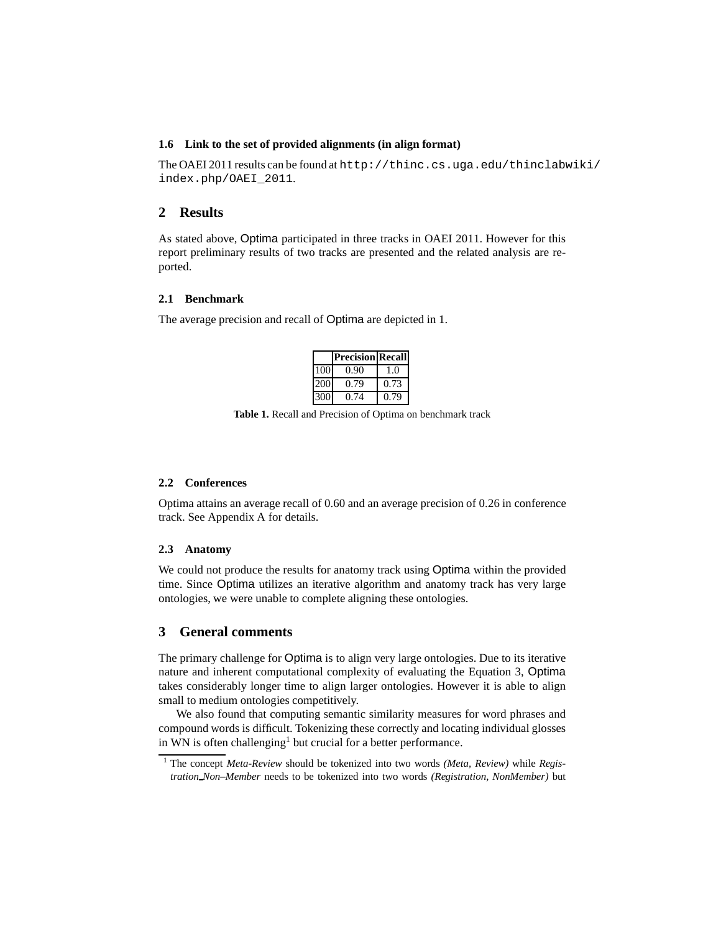#### **1.6 Link to the set of provided alignments (in align format)**

The OAEI 2011 results can be found at http://thinc.cs.uga.edu/thinclabwiki/ index.php/OAEI\_2011.

### **2 Results**

As stated above, Optima participated in three tracks in OAEI 2011. However for this report preliminary results of two tracks are presented and the related analysis are reported.

### **2.1 Benchmark**

The average precision and recall of Optima are depicted in 1.

|     | <b>Precision Recall</b> |      |
|-----|-------------------------|------|
| 100 | 0.90                    | 1.0  |
| 200 | 0.79                    | 0.73 |
| 300 | 0.74                    | 0.79 |

**Table 1.** Recall and Precision of Optima on benchmark track

#### **2.2 Conferences**

Optima attains an average recall of 0.60 and an average precision of 0.26 in conference track. See Appendix A for details.

#### **2.3 Anatomy**

We could not produce the results for anatomy track using Optima within the provided time. Since Optima utilizes an iterative algorithm and anatomy track has very large ontologies, we were unable to complete aligning these ontologies.

#### **3 General comments**

The primary challenge for Optima is to align very large ontologies. Due to its iterative nature and inherent computational complexity of evaluating the Equation 3, Optima takes considerably longer time to align larger ontologies. However it is able to align small to medium ontologies competitively.

We also found that computing semantic similarity measures for word phrases and compound words is difficult. Tokenizing these correctly and locating individual glosses in WN is often challenging<sup>1</sup> but crucial for a better performance.

<sup>1</sup> The concept *Meta-Review* should be tokenized into two words *(Meta, Review)* while *Registration Non–Member* needs to be tokenized into two words *(Registration, NonMember)* but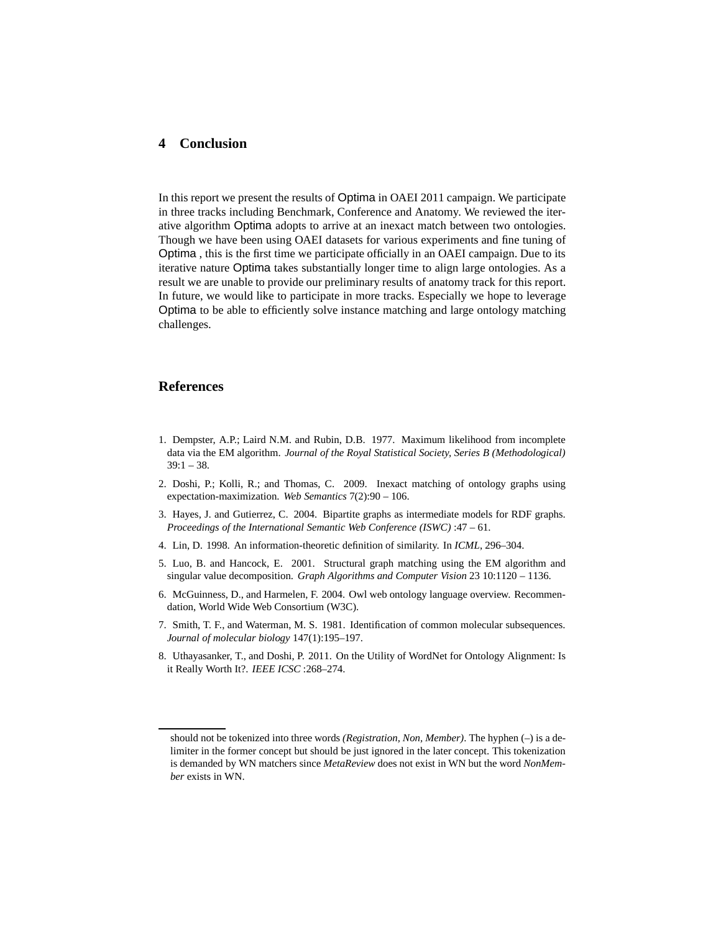### **4 Conclusion**

In this report we present the results of Optima in OAEI 2011 campaign. We participate in three tracks including Benchmark, Conference and Anatomy. We reviewed the iterative algorithm Optima adopts to arrive at an inexact match between two ontologies. Though we have been using OAEI datasets for various experiments and fine tuning of Optima , this is the first time we participate officially in an OAEI campaign. Due to its iterative nature Optima takes substantially longer time to align large ontologies. As a result we are unable to provide our preliminary results of anatomy track for this report. In future, we would like to participate in more tracks. Especially we hope to leverage Optima to be able to efficiently solve instance matching and large ontology matching challenges.

#### **References**

- 1. Dempster, A.P.; Laird N.M. and Rubin, D.B. 1977. Maximum likelihood from incomplete data via the EM algorithm. *Journal of the Royal Statistical Society, Series B (Methodological)*  $39:1 - 38.$
- 2. Doshi, P.; Kolli, R.; and Thomas, C. 2009. Inexact matching of ontology graphs using expectation-maximization. *Web Semantics* 7(2):90 – 106.
- 3. Hayes, J. and Gutierrez, C. 2004. Bipartite graphs as intermediate models for RDF graphs. *Proceedings of the International Semantic Web Conference (ISWC)* :47 – 61.
- 4. Lin, D. 1998. An information-theoretic definition of similarity. In *ICML*, 296–304.
- 5. Luo, B. and Hancock, E. 2001. Structural graph matching using the EM algorithm and singular value decomposition. *Graph Algorithms and Computer Vision* 23 10:1120 – 1136.
- 6. McGuinness, D., and Harmelen, F. 2004. Owl web ontology language overview. Recommendation, World Wide Web Consortium (W3C).
- 7. Smith, T. F., and Waterman, M. S. 1981. Identification of common molecular subsequences. *Journal of molecular biology* 147(1):195–197.
- 8. Uthayasanker, T., and Doshi, P. 2011. On the Utility of WordNet for Ontology Alignment: Is it Really Worth It?. *IEEE ICSC* :268–274.

should not be tokenized into three words *(Registration, Non, Member)*. The hyphen (–) is a delimiter in the former concept but should be just ignored in the later concept. This tokenization is demanded by WN matchers since *MetaReview* does not exist in WN but the word *NonMember* exists in WN.